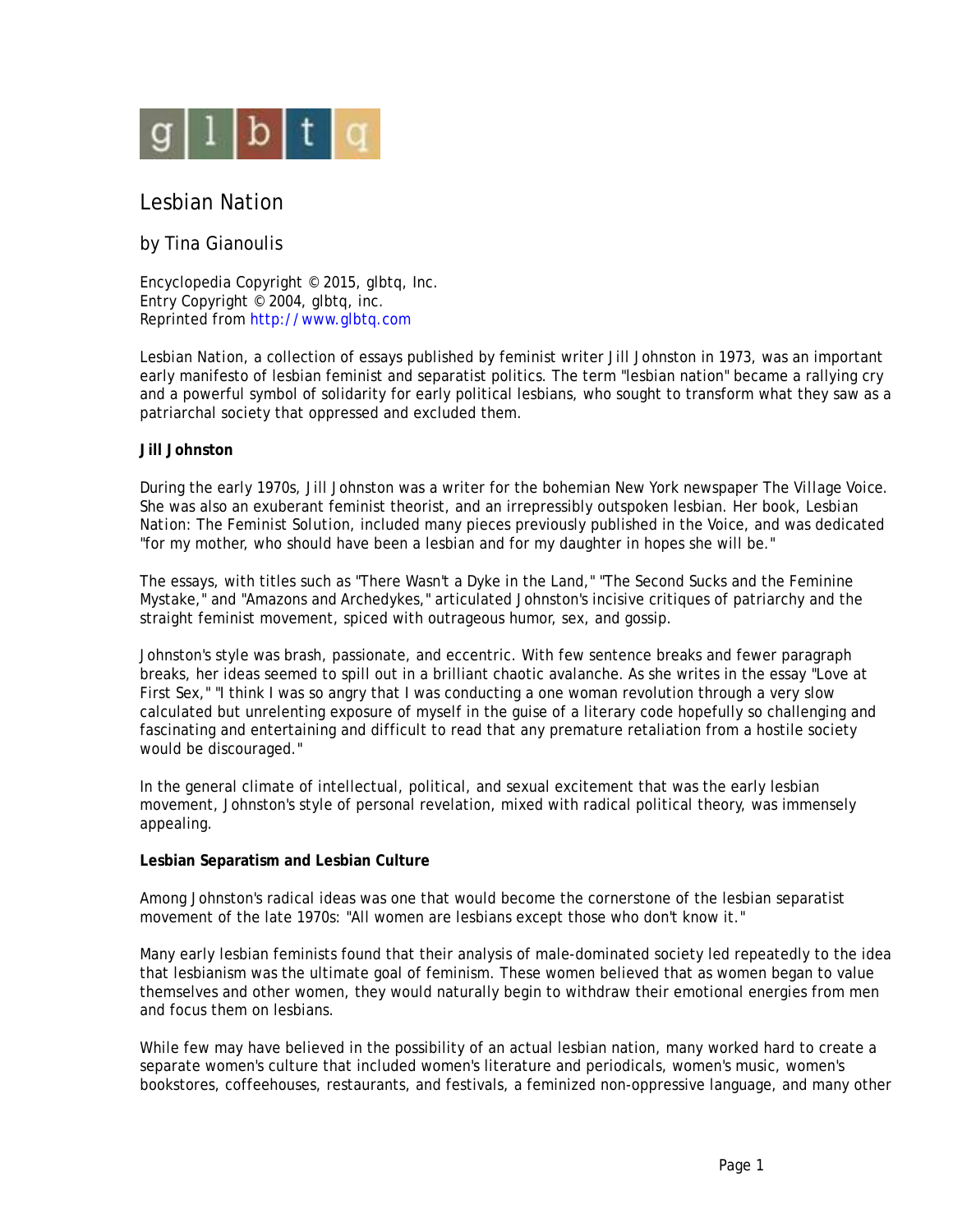

# Lesbian Nation

# by Tina Gianoulis

Encyclopedia Copyright © 2015, glbtq, Inc. Entry Copyright © 2004, glbtq, inc. Reprinted fro[m http://www.glbtq.com](http://www.glbtq.com)

*Lesbian Nation*, a collection of essays published by feminist writer Jill Johnston in 1973, was an important early manifesto of lesbian feminist and separatist politics. The term "lesbian nation" became a rallying cry and a powerful symbol of solidarity for early political lesbians, who sought to transform what they saw as a patriarchal society that oppressed and excluded them.

## **Jill Johnston**

During the early 1970s, Jill Johnston was a writer for the bohemian New York newspaper *The Village Voice.* She was also an exuberant feminist theorist, and an irrepressibly outspoken lesbian. Her book, *Lesbian Nation: The Feminist Solution,* included many pieces previously published in the *Voice*, and was dedicated "for my mother, who should have been a lesbian and for my daughter in hopes she will be."

The essays, with titles such as "There Wasn't a Dyke in the Land," "The Second Sucks and the Feminine Mystake," and "Amazons and Archedykes," articulated Johnston's incisive critiques of patriarchy and the straight feminist movement, spiced with outrageous humor, sex, and gossip.

Johnston's style was brash, passionate, and eccentric. With few sentence breaks and fewer paragraph breaks, her ideas seemed to spill out in a brilliant chaotic avalanche. As she writes in the essay "Love at First Sex," "I think I was so angry that I was conducting a one woman revolution through a very slow calculated but unrelenting exposure of myself in the guise of a literary code hopefully so challenging and fascinating and entertaining and difficult to read that any premature retaliation from a hostile society would be discouraged."

In the general climate of intellectual, political, and sexual excitement that was the early lesbian movement, Johnston's style of personal revelation, mixed with radical political theory, was immensely appealing.

### **Lesbian Separatism and Lesbian Culture**

Among Johnston's radical ideas was one that would become the cornerstone of the lesbian separatist movement of the late 1970s: "All women are lesbians except those who don't know it."

Many early lesbian feminists found that their analysis of male-dominated society led repeatedly to the idea that lesbianism was the ultimate goal of feminism. These women believed that as women began to value themselves and other women, they would naturally begin to withdraw their emotional energies from men and focus them on lesbians.

While few may have believed in the possibility of an actual lesbian nation, many worked hard to create a separate women's culture that included women's literature and periodicals, women's music, women's bookstores, coffeehouses, restaurants, and festivals, a feminized non-oppressive language, and many other